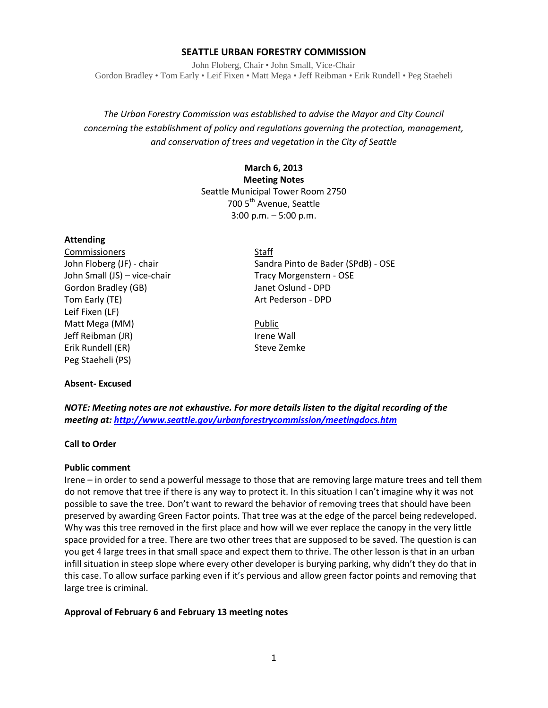### **SEATTLE URBAN FORESTRY COMMISSION**

John Floberg, Chair • John Small, Vice-Chair Gordon Bradley • Tom Early • Leif Fixen • Matt Mega • Jeff Reibman • Erik Rundell • Peg Staeheli

# *The Urban Forestry Commission was established to advise the Mayor and City Council concerning the establishment of policy and regulations governing the protection, management, and conservation of trees and vegetation in the City of Seattle*

## **March 6, 2013 Meeting Notes** Seattle Municipal Tower Room 2750 700 5<sup>th</sup> Avenue, Seattle 3:00 p.m. – 5:00 p.m.

### **Attending**

Commissioners Staff John Small (JS) – vice-chair Tracy Morgenstern - OSE Gordon Bradley (GB) Janet Oslund - DPD Tom Early (TE) and Tom Early (TE) and Tom Early (TE) and Tom Early (TE) and Tom Early (TE) and Tom Early (TE) Leif Fixen (LF) Matt Mega (MM) and the state of the Public Public Jeff Reibman (JR) **In the United States** Irene Wall Erik Rundell (ER) Steve Zemke Peg Staeheli (PS)

## **Absent- Excused**

John Floberg (JF) - chair Sandra Pinto de Bader (SPdB) - OSE

*NOTE: Meeting notes are not exhaustive. For more details listen to the digital recording of the meeting at[: http://www.seattle.gov/urbanforestrycommission/meetingdocs.htm](http://www.seattle.gov/urbanforestrycommission/meetingdocs.htm)*

### **Call to Order**

### **Public comment**

Irene – in order to send a powerful message to those that are removing large mature trees and tell them do not remove that tree if there is any way to protect it. In this situation I can't imagine why it was not possible to save the tree. Don't want to reward the behavior of removing trees that should have been preserved by awarding Green Factor points. That tree was at the edge of the parcel being redeveloped. Why was this tree removed in the first place and how will we ever replace the canopy in the very little space provided for a tree. There are two other trees that are supposed to be saved. The question is can you get 4 large trees in that small space and expect them to thrive. The other lesson is that in an urban infill situation in steep slope where every other developer is burying parking, why didn't they do that in this case. To allow surface parking even if it's pervious and allow green factor points and removing that large tree is criminal.

## **Approval of February 6 and February 13 meeting notes**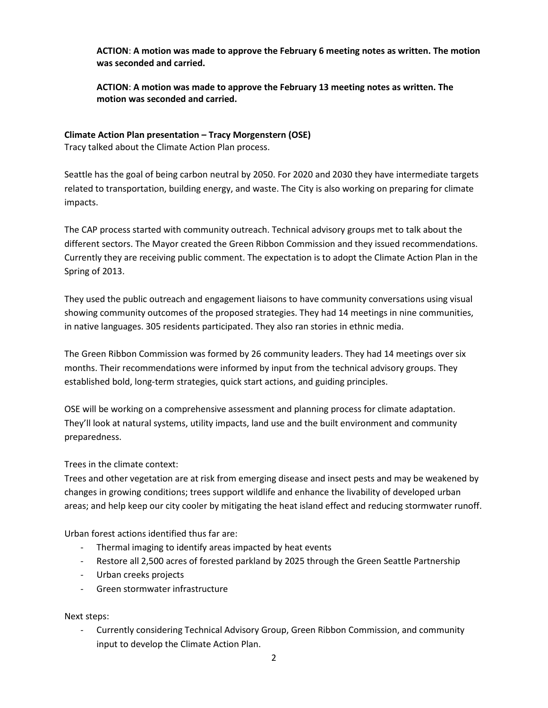**ACTION**: **A motion was made to approve the February 6 meeting notes as written. The motion was seconded and carried.** 

**ACTION**: **A motion was made to approve the February 13 meeting notes as written. The motion was seconded and carried.** 

**Climate Action Plan presentation – Tracy Morgenstern (OSE)**

Tracy talked about the Climate Action Plan process.

Seattle has the goal of being carbon neutral by 2050. For 2020 and 2030 they have intermediate targets related to transportation, building energy, and waste. The City is also working on preparing for climate impacts.

The CAP process started with community outreach. Technical advisory groups met to talk about the different sectors. The Mayor created the Green Ribbon Commission and they issued recommendations. Currently they are receiving public comment. The expectation is to adopt the Climate Action Plan in the Spring of 2013.

They used the public outreach and engagement liaisons to have community conversations using visual showing community outcomes of the proposed strategies. They had 14 meetings in nine communities, in native languages. 305 residents participated. They also ran stories in ethnic media.

The Green Ribbon Commission was formed by 26 community leaders. They had 14 meetings over six months. Their recommendations were informed by input from the technical advisory groups. They established bold, long-term strategies, quick start actions, and guiding principles.

OSE will be working on a comprehensive assessment and planning process for climate adaptation. They'll look at natural systems, utility impacts, land use and the built environment and community preparedness.

Trees in the climate context:

Trees and other vegetation are at risk from emerging disease and insect pests and may be weakened by changes in growing conditions; trees support wildlife and enhance the livability of developed urban areas; and help keep our city cooler by mitigating the heat island effect and reducing stormwater runoff.

Urban forest actions identified thus far are:

- Thermal imaging to identify areas impacted by heat events
- Restore all 2,500 acres of forested parkland by 2025 through the Green Seattle Partnership
- Urban creeks projects
- Green stormwater infrastructure

Next steps:

- Currently considering Technical Advisory Group, Green Ribbon Commission, and community input to develop the Climate Action Plan.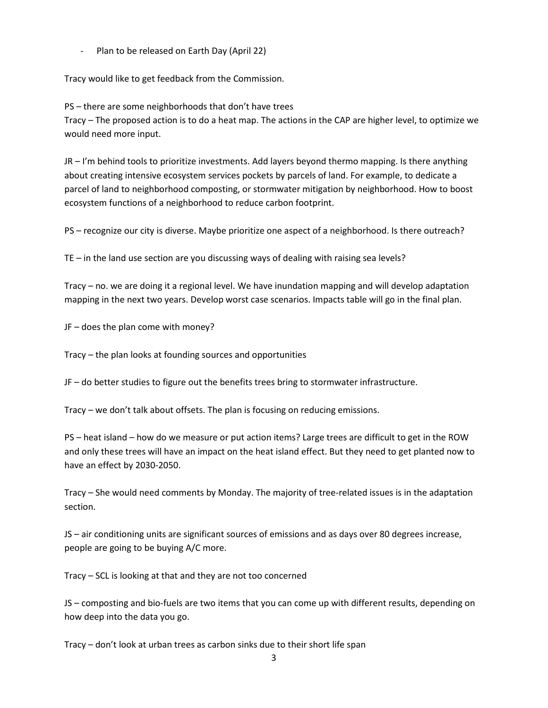Plan to be released on Earth Day (April 22)

Tracy would like to get feedback from the Commission.

PS – there are some neighborhoods that don't have trees Tracy – The proposed action is to do a heat map. The actions in the CAP are higher level, to optimize we would need more input.

JR – I'm behind tools to prioritize investments. Add layers beyond thermo mapping. Is there anything about creating intensive ecosystem services pockets by parcels of land. For example, to dedicate a parcel of land to neighborhood composting, or stormwater mitigation by neighborhood. How to boost ecosystem functions of a neighborhood to reduce carbon footprint.

PS – recognize our city is diverse. Maybe prioritize one aspect of a neighborhood. Is there outreach?

TE – in the land use section are you discussing ways of dealing with raising sea levels?

Tracy – no. we are doing it a regional level. We have inundation mapping and will develop adaptation mapping in the next two years. Develop worst case scenarios. Impacts table will go in the final plan.

JF – does the plan come with money?

Tracy – the plan looks at founding sources and opportunities

JF – do better studies to figure out the benefits trees bring to stormwater infrastructure.

Tracy – we don't talk about offsets. The plan is focusing on reducing emissions.

PS – heat island – how do we measure or put action items? Large trees are difficult to get in the ROW and only these trees will have an impact on the heat island effect. But they need to get planted now to have an effect by 2030-2050.

Tracy – She would need comments by Monday. The majority of tree-related issues is in the adaptation section.

JS – air conditioning units are significant sources of emissions and as days over 80 degrees increase, people are going to be buying A/C more.

Tracy – SCL is looking at that and they are not too concerned

JS – composting and bio-fuels are two items that you can come up with different results, depending on how deep into the data you go.

Tracy – don't look at urban trees as carbon sinks due to their short life span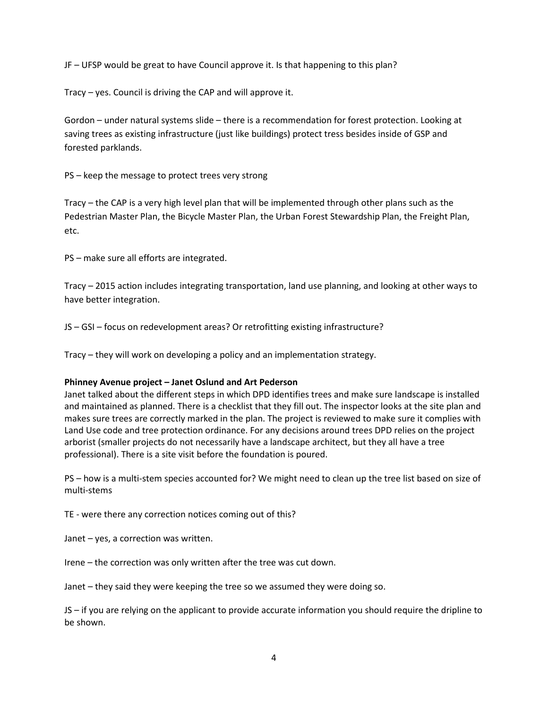JF – UFSP would be great to have Council approve it. Is that happening to this plan?

Tracy – yes. Council is driving the CAP and will approve it.

Gordon – under natural systems slide – there is a recommendation for forest protection. Looking at saving trees as existing infrastructure (just like buildings) protect tress besides inside of GSP and forested parklands.

PS – keep the message to protect trees very strong

Tracy – the CAP is a very high level plan that will be implemented through other plans such as the Pedestrian Master Plan, the Bicycle Master Plan, the Urban Forest Stewardship Plan, the Freight Plan, etc.

PS – make sure all efforts are integrated.

Tracy – 2015 action includes integrating transportation, land use planning, and looking at other ways to have better integration.

JS – GSI – focus on redevelopment areas? Or retrofitting existing infrastructure?

Tracy – they will work on developing a policy and an implementation strategy.

## **Phinney Avenue project – Janet Oslund and Art Pederson**

Janet talked about the different steps in which DPD identifies trees and make sure landscape is installed and maintained as planned. There is a checklist that they fill out. The inspector looks at the site plan and makes sure trees are correctly marked in the plan. The project is reviewed to make sure it complies with Land Use code and tree protection ordinance. For any decisions around trees DPD relies on the project arborist (smaller projects do not necessarily have a landscape architect, but they all have a tree professional). There is a site visit before the foundation is poured.

PS – how is a multi-stem species accounted for? We might need to clean up the tree list based on size of multi-stems

TE - were there any correction notices coming out of this?

Janet – yes, a correction was written.

Irene – the correction was only written after the tree was cut down.

Janet – they said they were keeping the tree so we assumed they were doing so.

JS – if you are relying on the applicant to provide accurate information you should require the dripline to be shown.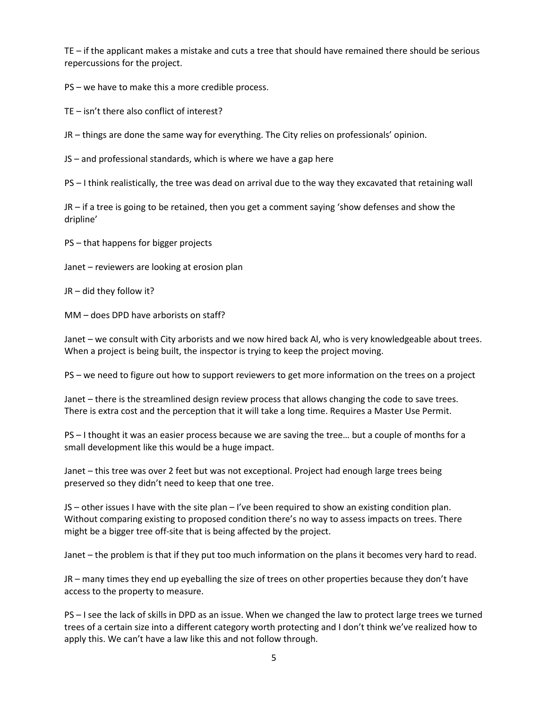TE – if the applicant makes a mistake and cuts a tree that should have remained there should be serious repercussions for the project.

PS – we have to make this a more credible process.

TE – isn't there also conflict of interest?

JR – things are done the same way for everything. The City relies on professionals' opinion.

JS – and professional standards, which is where we have a gap here

PS – I think realistically, the tree was dead on arrival due to the way they excavated that retaining wall

JR – if a tree is going to be retained, then you get a comment saying 'show defenses and show the dripline'

PS – that happens for bigger projects

Janet – reviewers are looking at erosion plan

JR – did they follow it?

MM – does DPD have arborists on staff?

Janet – we consult with City arborists and we now hired back Al, who is very knowledgeable about trees. When a project is being built, the inspector is trying to keep the project moving.

PS – we need to figure out how to support reviewers to get more information on the trees on a project

Janet – there is the streamlined design review process that allows changing the code to save trees. There is extra cost and the perception that it will take a long time. Requires a Master Use Permit.

PS – I thought it was an easier process because we are saving the tree… but a couple of months for a small development like this would be a huge impact.

Janet – this tree was over 2 feet but was not exceptional. Project had enough large trees being preserved so they didn't need to keep that one tree.

JS – other issues I have with the site plan – I've been required to show an existing condition plan. Without comparing existing to proposed condition there's no way to assess impacts on trees. There might be a bigger tree off-site that is being affected by the project.

Janet – the problem is that if they put too much information on the plans it becomes very hard to read.

JR – many times they end up eyeballing the size of trees on other properties because they don't have access to the property to measure.

PS – I see the lack of skills in DPD as an issue. When we changed the law to protect large trees we turned trees of a certain size into a different category worth protecting and I don't think we've realized how to apply this. We can't have a law like this and not follow through.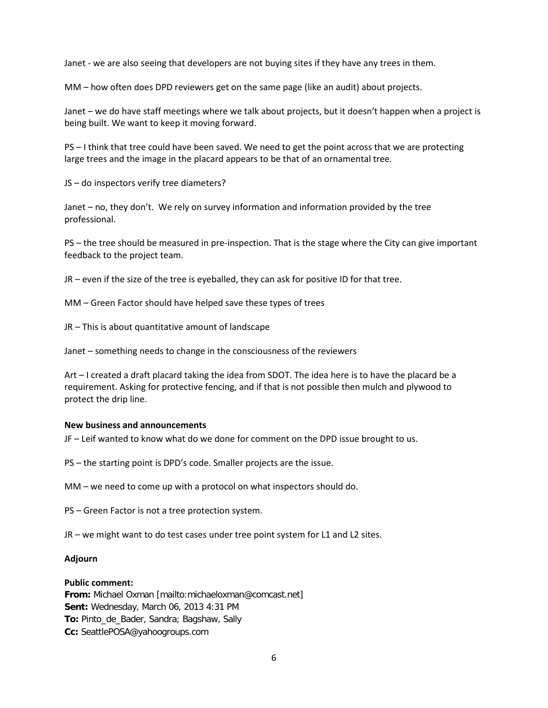Janet - we are also seeing that developers are not buying sites if they have any trees in them.

MM – how often does DPD reviewers get on the same page (like an audit) about projects.

Janet – we do have staff meetings where we talk about projects, but it doesn't happen when a project is being built. We want to keep it moving forward.

PS – I think that tree could have been saved. We need to get the point across that we are protecting large trees and the image in the placard appears to be that of an ornamental tree.

JS – do inspectors verify tree diameters?

Janet – no, they don't. We rely on survey information and information provided by the tree professional.

PS – the tree should be measured in pre-inspection. That is the stage where the City can give important feedback to the project team.

JR – even if the size of the tree is eyeballed, they can ask for positive ID for that tree.

MM – Green Factor should have helped save these types of trees

JR – This is about quantitative amount of landscape

Janet – something needs to change in the consciousness of the reviewers

Art – I created a draft placard taking the idea from SDOT. The idea here is to have the placard be a requirement. Asking for protective fencing, and if that is not possible then mulch and plywood to protect the drip line.

### **New business and announcements**

JF – Leif wanted to know what do we done for comment on the DPD issue brought to us.

PS – the starting point is DPD's code. Smaller projects are the issue.

MM – we need to come up with a protocol on what inspectors should do.

PS – Green Factor is not a tree protection system.

JR – we might want to do test cases under tree point system for L1 and L2 sites.

### **Adjourn**

### **Public comment:**

**From:** Michael Oxman [mailto:michaeloxman@comcast.net] **Sent:** Wednesday, March 06, 2013 4:31 PM **To:** Pinto\_de\_Bader, Sandra; Bagshaw, Sally **Cc:** SeattlePOSA@yahoogroups.com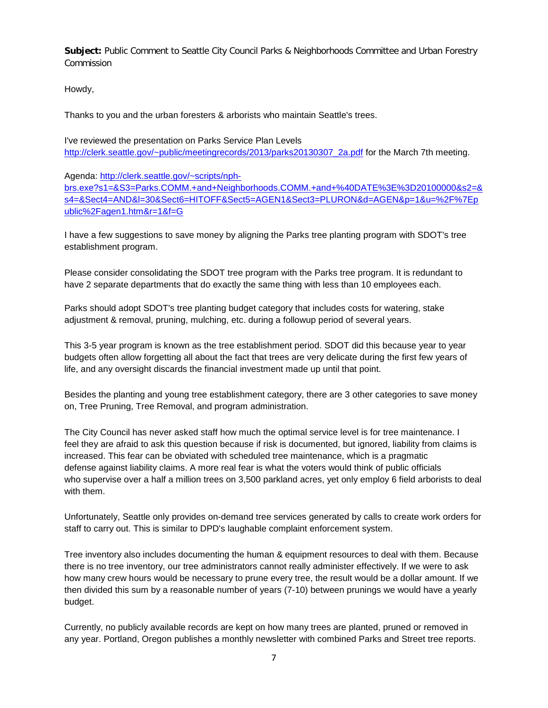**Subject:** Public Comment to Seattle City Council Parks & Neighborhoods Committee and Urban Forestry Commission

Howdy,

Thanks to you and the urban foresters & arborists who maintain Seattle's trees.

I've reviewed the presentation on Parks Service Plan Levels [http://clerk.seattle.gov/~public/meetingrecords/2013/parks20130307\\_2a.pdf](http://clerk.seattle.gov/~public/meetingrecords/2013/parks20130307_2a.pdf) for the March 7th meeting.

Agenda: [http://clerk.seattle.gov/~scripts/nph-](http://clerk.seattle.gov/~scripts/nph-brs.exe?s1=&S3=Parks.COMM.+and+Neighborhoods.COMM.+and+%40DATE%3E%3D20100000&s2=&s4=&Sect4=AND&l=30&Sect6=HITOFF&Sect5=AGEN1&Sect3=PLURON&d=AGEN&p=1&u=%2F%7Epublic%2Fagen1.htm&r=1&f=G)

[brs.exe?s1=&S3=Parks.COMM.+and+Neighborhoods.COMM.+and+%40DATE%3E%3D20100000&s2=&](http://clerk.seattle.gov/~scripts/nph-brs.exe?s1=&S3=Parks.COMM.+and+Neighborhoods.COMM.+and+%40DATE%3E%3D20100000&s2=&s4=&Sect4=AND&l=30&Sect6=HITOFF&Sect5=AGEN1&Sect3=PLURON&d=AGEN&p=1&u=%2F%7Epublic%2Fagen1.htm&r=1&f=G) [s4=&Sect4=AND&l=30&Sect6=HITOFF&Sect5=AGEN1&Sect3=PLURON&d=AGEN&p=1&u=%2F%7Ep](http://clerk.seattle.gov/~scripts/nph-brs.exe?s1=&S3=Parks.COMM.+and+Neighborhoods.COMM.+and+%40DATE%3E%3D20100000&s2=&s4=&Sect4=AND&l=30&Sect6=HITOFF&Sect5=AGEN1&Sect3=PLURON&d=AGEN&p=1&u=%2F%7Epublic%2Fagen1.htm&r=1&f=G) [ublic%2Fagen1.htm&r=1&f=G](http://clerk.seattle.gov/~scripts/nph-brs.exe?s1=&S3=Parks.COMM.+and+Neighborhoods.COMM.+and+%40DATE%3E%3D20100000&s2=&s4=&Sect4=AND&l=30&Sect6=HITOFF&Sect5=AGEN1&Sect3=PLURON&d=AGEN&p=1&u=%2F%7Epublic%2Fagen1.htm&r=1&f=G)

I have a few suggestions to save money by aligning the Parks tree planting program with SDOT's tree establishment program.

Please consider consolidating the SDOT tree program with the Parks tree program. It is redundant to have 2 separate departments that do exactly the same thing with less than 10 employees each.

Parks should adopt SDOT's tree planting budget category that includes costs for watering, stake adjustment & removal, pruning, mulching, etc. during a followup period of several years.

This 3-5 year program is known as the tree establishment period. SDOT did this because year to year budgets often allow forgetting all about the fact that trees are very delicate during the first few years of life, and any oversight discards the financial investment made up until that point.

Besides the planting and young tree establishment category, there are 3 other categories to save money on, Tree Pruning, Tree Removal, and program administration.

The City Council has never asked staff how much the optimal service level is for tree maintenance. I feel they are afraid to ask this question because if risk is documented, but ignored, liability from claims is increased. This fear can be obviated with scheduled tree maintenance, which is a pragmatic defense against liability claims. A more real fear is what the voters would think of public officials who supervise over a half a million trees on 3,500 parkland acres, yet only employ 6 field arborists to deal with them.

Unfortunately, Seattle only provides on-demand tree services generated by calls to create work orders for staff to carry out. This is similar to DPD's laughable complaint enforcement system.

Tree inventory also includes documenting the human & equipment resources to deal with them. Because there is no tree inventory, our tree administrators cannot really administer effectively. If we were to ask how many crew hours would be necessary to prune every tree, the result would be a dollar amount. If we then divided this sum by a reasonable number of years (7-10) between prunings we would have a yearly budget.

Currently, no publicly available records are kept on how many trees are planted, pruned or removed in any year. Portland, Oregon publishes a monthly newsletter with combined Parks and Street tree reports.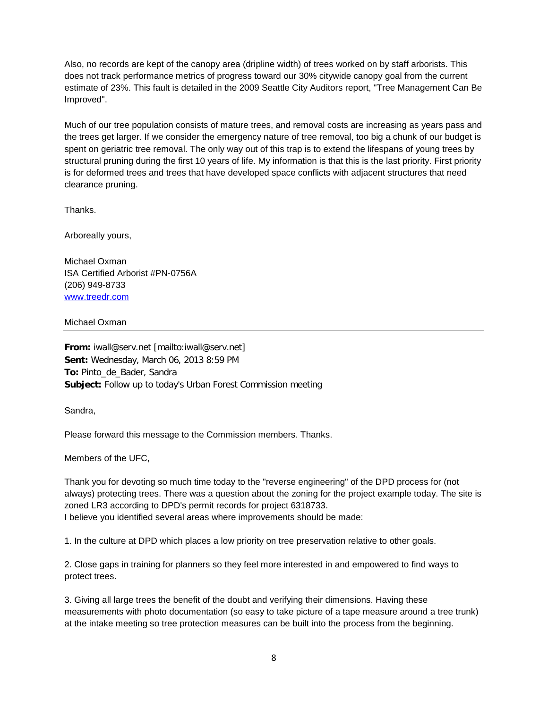Also, no records are kept of the canopy area (dripline width) of trees worked on by staff arborists. This does not track performance metrics of progress toward our 30% citywide canopy goal from the current estimate of 23%. This fault is detailed in the 2009 Seattle City Auditors report, "Tree Management Can Be Improved".

Much of our tree population consists of mature trees, and removal costs are increasing as years pass and the trees get larger. If we consider the emergency nature of tree removal, too big a chunk of our budget is spent on geriatric tree removal. The only way out of this trap is to extend the lifespans of young trees by structural pruning during the first 10 years of life. My information is that this is the last priority. First priority is for deformed trees and trees that have developed space conflicts with adjacent structures that need clearance pruning.

Thanks.

Arboreally yours,

Michael Oxman ISA Certified Arborist #PN-0756A (206) 949-8733 [www.treedr.com](http://www.treedr.com/)

Michael Oxman

**From:** iwall@serv.net [mailto:iwall@serv.net] **Sent:** Wednesday, March 06, 2013 8:59 PM **To:** Pinto\_de\_Bader, Sandra **Subject:** Follow up to today's Urban Forest Commission meeting

Sandra,

Please forward this message to the Commission members. Thanks.

Members of the UFC,

Thank you for devoting so much time today to the "reverse engineering" of the DPD process for (not always) protecting trees. There was a question about the zoning for the project example today. The site is zoned LR3 according to DPD's permit records for project 6318733. I believe you identified several areas where improvements should be made:

1. In the culture at DPD which places a low priority on tree preservation relative to other goals.

2. Close gaps in training for planners so they feel more interested in and empowered to find ways to protect trees.

3. Giving all large trees the benefit of the doubt and verifying their dimensions. Having these measurements with photo documentation (so easy to take picture of a tape measure around a tree trunk) at the intake meeting so tree protection measures can be built into the process from the beginning.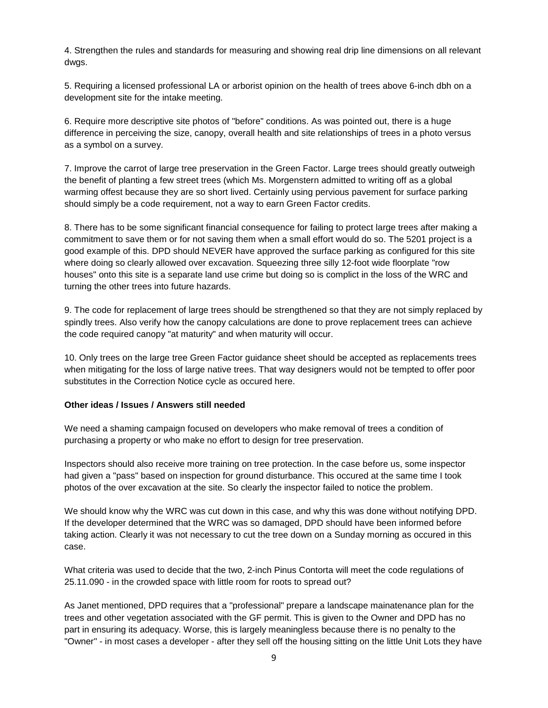4. Strengthen the rules and standards for measuring and showing real drip line dimensions on all relevant dwgs.

5. Requiring a licensed professional LA or arborist opinion on the health of trees above 6-inch dbh on a development site for the intake meeting.

6. Require more descriptive site photos of "before" conditions. As was pointed out, there is a huge difference in perceiving the size, canopy, overall health and site relationships of trees in a photo versus as a symbol on a survey.

7. Improve the carrot of large tree preservation in the Green Factor. Large trees should greatly outweigh the benefit of planting a few street trees (which Ms. Morgenstern admitted to writing off as a global warming offest because they are so short lived. Certainly using pervious pavement for surface parking should simply be a code requirement, not a way to earn Green Factor credits.

8. There has to be some significant financial consequence for failing to protect large trees after making a commitment to save them or for not saving them when a small effort would do so. The 5201 project is a good example of this. DPD should NEVER have approved the surface parking as configured for this site where doing so clearly allowed over excavation. Squeezing three silly 12-foot wide floorplate "row houses" onto this site is a separate land use crime but doing so is complict in the loss of the WRC and turning the other trees into future hazards.

9. The code for replacement of large trees should be strengthened so that they are not simply replaced by spindly trees. Also verify how the canopy calculations are done to prove replacement trees can achieve the code required canopy "at maturity" and when maturity will occur.

10. Only trees on the large tree Green Factor guidance sheet should be accepted as replacements trees when mitigating for the loss of large native trees. That way designers would not be tempted to offer poor substitutes in the Correction Notice cycle as occured here.

### **Other ideas / Issues / Answers still needed**

We need a shaming campaign focused on developers who make removal of trees a condition of purchasing a property or who make no effort to design for tree preservation.

Inspectors should also receive more training on tree protection. In the case before us, some inspector had given a "pass" based on inspection for ground disturbance. This occured at the same time I took photos of the over excavation at the site. So clearly the inspector failed to notice the problem.

We should know why the WRC was cut down in this case, and why this was done without notifying DPD. If the developer determined that the WRC was so damaged, DPD should have been informed before taking action. Clearly it was not necessary to cut the tree down on a Sunday morning as occured in this case.

What criteria was used to decide that the two, 2-inch Pinus Contorta will meet the code regulations of 25.11.090 - in the crowded space with little room for roots to spread out?

As Janet mentioned, DPD requires that a "professional" prepare a landscape mainatenance plan for the trees and other vegetation associated with the GF permit. This is given to the Owner and DPD has no part in ensuring its adequacy. Worse, this is largely meaningless because there is no penalty to the "Owner" - in most cases a developer - after they sell off the housing sitting on the little Unit Lots they have